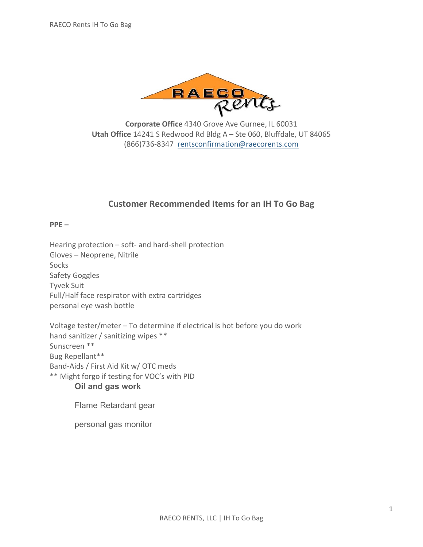

**Corporate Office** 4340 Grove Ave Gurnee, IL 60031 **Utah Office** 14241 S Redwood Rd Bldg A – Ste 060, Bluffdale, UT 84065 (866)736-8347 [rentsconfirmation@raecorents.com](mailto:rentsconfirmation@raecorents.com)

# **Customer Recommended Items for an IH To Go Bag**

**PPE –**

Hearing protection – soft- and hard-shell protection Gloves – Neoprene, Nitrile Socks Safety Goggles Tyvek Suit Full/Half face respirator with extra cartridges personal eye wash bottle

Voltage tester/meter – To determine if electrical is hot before you do work hand sanitizer / sanitizing wipes \*\* Sunscreen \*\* Bug Repellant\*\* Band-Aids / First Aid Kit w/ OTC meds \*\* Might forgo if testing for VOC's with PID **Oil and gas work**

Flame Retardant gear

personal gas monitor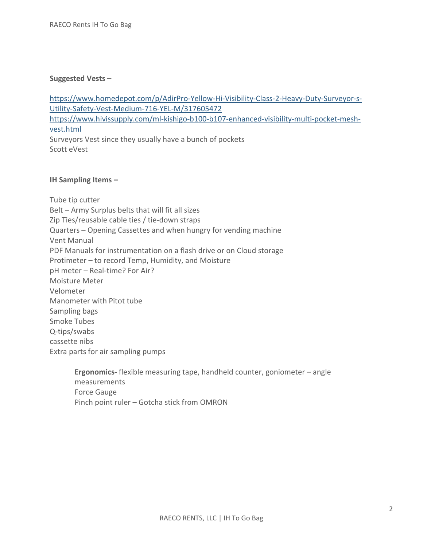### **Suggested Vests –**

[https://www.homedepot.com/p/AdirPro-Yellow-Hi-Visibility-Class-2-Heavy-Duty-Surveyor-s-](https://www.homedepot.com/p/AdirPro-Yellow-Hi-Visibility-Class-2-Heavy-Duty-Surveyor-s-Utility-Safety-Vest-Medium-716-YEL-M/317605472)[Utility-Safety-Vest-Medium-716-YEL-M/317605472](https://www.homedepot.com/p/AdirPro-Yellow-Hi-Visibility-Class-2-Heavy-Duty-Surveyor-s-Utility-Safety-Vest-Medium-716-YEL-M/317605472) [https://www.hivissupply.com/ml-kishigo-b100-b107-enhanced-visibility-multi-pocket-mesh](https://www.hivissupply.com/ml-kishigo-b100-b107-enhanced-visibility-multi-pocket-mesh-vest.html)[vest.html](https://www.hivissupply.com/ml-kishigo-b100-b107-enhanced-visibility-multi-pocket-mesh-vest.html) Surveyors Vest since they usually have a bunch of pockets Scott eVest

## **IH Sampling Items –**

Tube tip cutter Belt – Army Surplus belts that will fit all sizes Zip Ties/reusable cable ties / tie-down straps Quarters – Opening Cassettes and when hungry for vending machine Vent Manual PDF Manuals for instrumentation on a flash drive or on Cloud storage Protimeter – to record Temp, Humidity, and Moisture pH meter – Real-time? For Air? Moisture Meter Velometer Manometer with Pitot tube Sampling bags Smoke Tubes Q-tips/swabs cassette nibs Extra parts for air sampling pumps

> **Ergonomics-** flexible measuring tape, handheld counter, goniometer – angle measurements Force Gauge Pinch point ruler – Gotcha stick from OMRON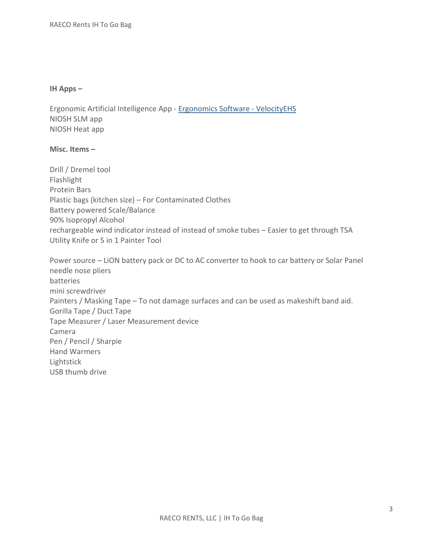### **IH Apps –**

Ergonomic Artificial Intelligence App - [Ergonomics Software -](https://www.ehs.com/solutions/ergonomics) VelocityEHS NIOSH SLM app NIOSH Heat app

# **Misc. Items –**

Drill / Dremel tool Flashlight Protein Bars Plastic bags (kitchen size) – For Contaminated Clothes Battery powered Scale/Balance 90% Isopropyl Alcohol rechargeable wind indicator instead of instead of smoke tubes – Easier to get through TSA Utility Knife or 5 in 1 Painter Tool

Power source – LiON battery pack or DC to AC converter to hook to car battery or Solar Panel needle nose pliers batteries mini screwdriver Painters / Masking Tape – To not damage surfaces and can be used as makeshift band aid. Gorilla Tape / Duct Tape Tape Measurer / Laser Measurement device Camera Pen / Pencil / Sharpie Hand Warmers Lightstick USB thumb drive